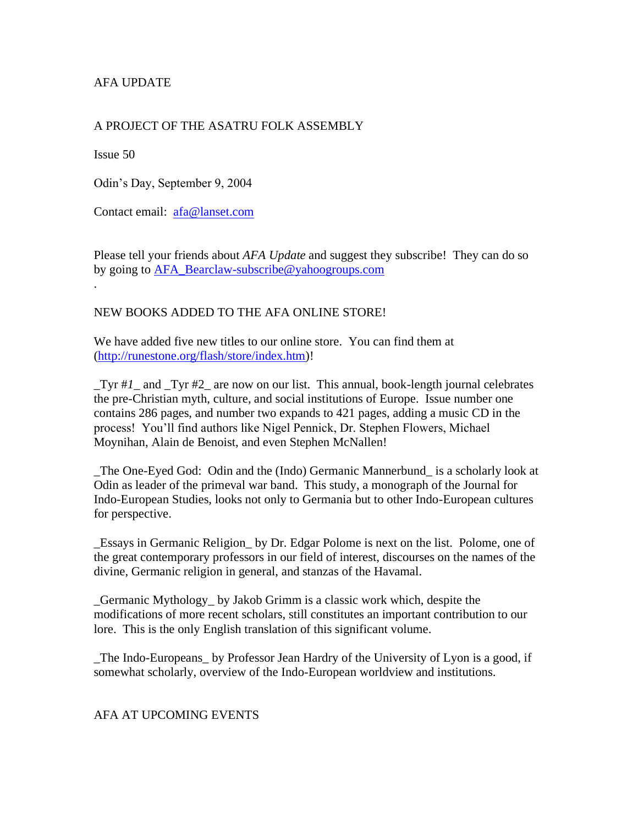# AFA UPDATE

## A PROJECT OF THE ASATRU FOLK ASSEMBLY

Issue 50

Odin's Day, September 9, 2004

Contact email: [afa@lanset.com](mailto:afa@lanset.com)

Please tell your friends about *AFA Update* and suggest they subscribe! They can do so by going to [AFA\\_Bearclaw-subscribe@yahoogroups.com](mailto:AFA_Bearclaw-subscribe@yahoogroups.com) .

#### NEW BOOKS ADDED TO THE AFA ONLINE STORE!

We have added five new titles to our online store. You can find them at [\(http://runestone.org/flash/store/index.htm\)](http://runestone.org/flash/store/index.htm)!

*\_*Tyr #*1*\_ and \_Tyr #2\_ are now on our list. This annual, book-length journal celebrates the pre-Christian myth, culture, and social institutions of Europe. Issue number one contains 286 pages, and number two expands to 421 pages, adding a music CD in the process! You'll find authors like Nigel Pennick, Dr. Stephen Flowers, Michael Moynihan, Alain de Benoist, and even Stephen McNallen!

*\_*The One-Eyed God:Odin and the (Indo) Germanic Mannerbund\_ is a scholarly look at Odin as leader of the primeval war band. This study, a monograph of the Journal for Indo-European Studies, looks not only to Germania but to other Indo-European cultures for perspective.

*\_*Essays in Germanic Religion\_ by Dr. Edgar Polome is next on the list. Polome, one of the great contemporary professors in our field of interest, discourses on the names of the divine, Germanic religion in general, and stanzas of the Havamal.

*\_*Germanic Mythology\_ by Jakob Grimm is a classic work which, despite the modifications of more recent scholars, still constitutes an important contribution to our lore. This is the only English translation of this significant volume.

*\_*The Indo-Europeans\_ by Professor Jean Hardry of the University of Lyon is a good, if somewhat scholarly, overview of the Indo-European worldview and institutions.

#### AFA AT UPCOMING EVENTS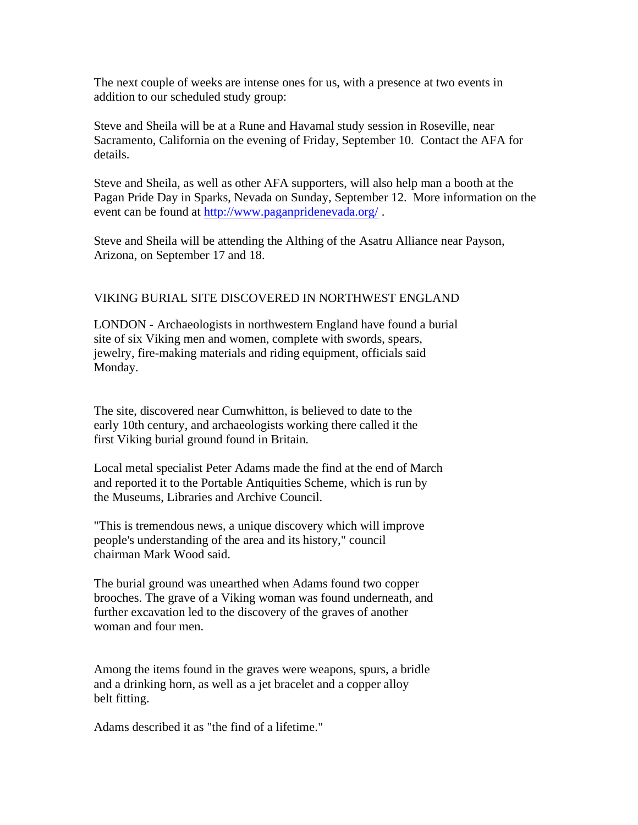The next couple of weeks are intense ones for us, with a presence at two events in addition to our scheduled study group:

Steve and Sheila will be at a Rune and Havamal study session in Roseville, near Sacramento, California on the evening of Friday, September 10. Contact the AFA for details.

Steve and Sheila, as well as other AFA supporters, will also help man a booth at the Pagan Pride Day in Sparks, Nevada on Sunday, September 12. More information on the event can be found at<http://www.paganpridenevada.org/>.

Steve and Sheila will be attending the Althing of the Asatru Alliance near Payson, Arizona, on September 17 and 18.

### VIKING BURIAL SITE DISCOVERED IN NORTHWEST ENGLAND

LONDON - Archaeologists in northwestern England have found a burial site of six Viking men and women, complete with swords, spears, jewelry, fire-making materials and riding equipment, officials said Monday.

The site, discovered near Cumwhitton, is believed to date to the early 10th century, and archaeologists working there called it the first Viking burial ground found in Britain.

Local metal specialist Peter Adams made the find at the end of March and reported it to the Portable Antiquities Scheme, which is run by the Museums, Libraries and Archive Council.

"This is tremendous news, a unique discovery which will improve people's understanding of the area and its history," council chairman Mark Wood said.

The burial ground was unearthed when Adams found two copper brooches. The grave of a Viking woman was found underneath, and further excavation led to the discovery of the graves of another woman and four men.

Among the items found in the graves were weapons, spurs, a bridle and a drinking horn, as well as a jet bracelet and a copper alloy belt fitting.

Adams described it as "the find of a lifetime."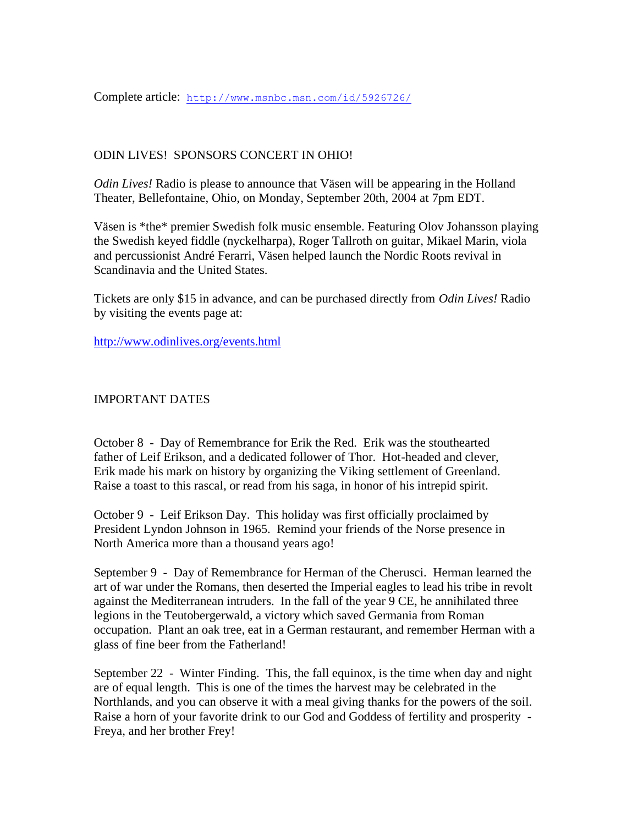## ODIN LIVES! SPONSORS CONCERT IN OHIO!

*Odin Lives!* Radio is please to announce that Väsen will be appearing in the Holland Theater, Bellefontaine, Ohio, on Monday, September 20th, 2004 at 7pm EDT.

Väsen is \*the\* premier Swedish folk music ensemble. Featuring Olov Johansson playing the Swedish keyed fiddle (nyckelharpa), Roger Tallroth on guitar, Mikael Marin, viola and percussionist André Ferarri, Väsen helped launch the Nordic Roots revival in Scandinavia and the United States.

Tickets are only \$15 in advance, and can be purchased directly from *Odin Lives!* Radio by visiting the events page at:

<http://www.odinlives.org/events.html>

#### IMPORTANT DATES

October 8 - Day of Remembrance for Erik the Red. Erik was the stouthearted father of Leif Erikson, and a dedicated follower of Thor. Hot-headed and clever, Erik made his mark on history by organizing the Viking settlement of Greenland. Raise a toast to this rascal, or read from his saga, in honor of his intrepid spirit.

October 9 - Leif Erikson Day. This holiday was first officially proclaimed by President Lyndon Johnson in 1965. Remind your friends of the Norse presence in North America more than a thousand years ago!

September 9 - Day of Remembrance for Herman of the Cherusci. Herman learned the art of war under the Romans, then deserted the Imperial eagles to lead his tribe in revolt against the Mediterranean intruders. In the fall of the year 9 CE, he annihilated three legions in the Teutobergerwald, a victory which saved Germania from Roman occupation. Plant an oak tree, eat in a German restaurant, and remember Herman with a glass of fine beer from the Fatherland!

September 22 - Winter Finding. This, the fall equinox, is the time when day and night are of equal length. This is one of the times the harvest may be celebrated in the Northlands, and you can observe it with a meal giving thanks for the powers of the soil. Raise a horn of your favorite drink to our God and Goddess of fertility and prosperity - Freya, and her brother Frey!